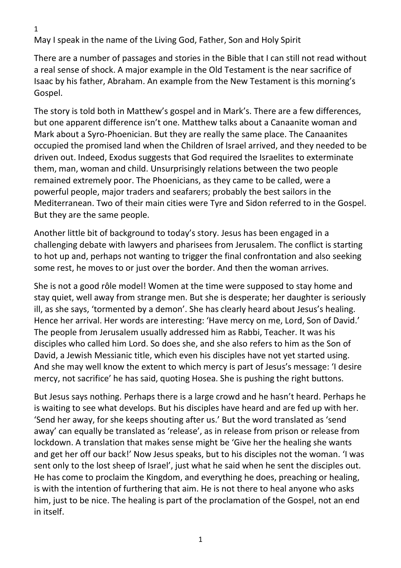```
1
```
May I speak in the name of the Living God, Father, Son and Holy Spirit

There are a number of passages and stories in the Bible that I can still not read without a real sense of shock. A major example in the Old Testament is the near sacrifice of Isaac by his father, Abraham. An example from the New Testament is this morning's Gospel.

The story is told both in Matthew's gospel and in Mark's. There are a few differences, but one apparent difference isn't one. Matthew talks about a Canaanite woman and Mark about a Syro-Phoenician. But they are really the same place. The Canaanites occupied the promised land when the Children of Israel arrived, and they needed to be driven out. Indeed, Exodus suggests that God required the Israelites to exterminate them, man, woman and child. Unsurprisingly relations between the two people remained extremely poor. The Phoenicians, as they came to be called, were a powerful people, major traders and seafarers; probably the best sailors in the Mediterranean. Two of their main cities were Tyre and Sidon referred to in the Gospel. But they are the same people.

Another little bit of background to today's story. Jesus has been engaged in a challenging debate with lawyers and pharisees from Jerusalem. The conflict is starting to hot up and, perhaps not wanting to trigger the final confrontation and also seeking some rest, he moves to or just over the border. And then the woman arrives.

She is not a good rôle model! Women at the time were supposed to stay home and stay quiet, well away from strange men. But she is desperate; her daughter is seriously ill, as she says, 'tormented by a demon'. She has clearly heard about Jesus's healing. Hence her arrival. Her words are interesting: 'Have mercy on me, Lord, Son of David.' The people from Jerusalem usually addressed him as Rabbi, Teacher. It was his disciples who called him Lord. So does she, and she also refers to him as the Son of David, a Jewish Messianic title, which even his disciples have not yet started using. And she may well know the extent to which mercy is part of Jesus's message: 'I desire mercy, not sacrifice' he has said, quoting Hosea. She is pushing the right buttons.

But Jesus says nothing. Perhaps there is a large crowd and he hasn't heard. Perhaps he is waiting to see what develops. But his disciples have heard and are fed up with her. 'Send her away, for she keeps shouting after us.' But the word translated as 'send away' can equally be translated as 'release', as in release from prison or release from lockdown. A translation that makes sense might be 'Give her the healing she wants and get her off our back!' Now Jesus speaks, but to his disciples not the woman. 'I was sent only to the lost sheep of Israel', just what he said when he sent the disciples out. He has come to proclaim the Kingdom, and everything he does, preaching or healing, is with the intention of furthering that aim. He is not there to heal anyone who asks him, just to be nice. The healing is part of the proclamation of the Gospel, not an end in itself.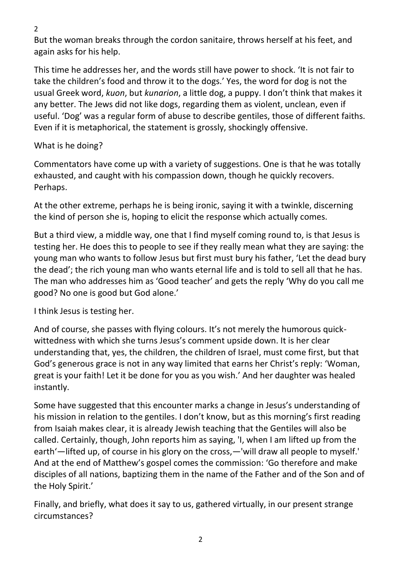2

But the woman breaks through the cordon sanitaire, throws herself at his feet, and again asks for his help.

This time he addresses her, and the words still have power to shock. 'It is not fair to take the children's food and throw it to the dogs.' Yes, the word for dog is not the usual Greek word, *kuon*, but *kunarion*, a little dog, a puppy. I don't think that makes it any better. The Jews did not like dogs, regarding them as violent, unclean, even if useful. 'Dog' was a regular form of abuse to describe gentiles, those of different faiths. Even if it is metaphorical, the statement is grossly, shockingly offensive.

## What is he doing?

Commentators have come up with a variety of suggestions. One is that he was totally exhausted, and caught with his compassion down, though he quickly recovers. Perhaps.

At the other extreme, perhaps he is being ironic, saying it with a twinkle, discerning the kind of person she is, hoping to elicit the response which actually comes.

But a third view, a middle way, one that I find myself coming round to, is that Jesus is testing her. He does this to people to see if they really mean what they are saying: the young man who wants to follow Jesus but first must bury his father, 'Let the dead bury the dead'; the rich young man who wants eternal life and is told to sell all that he has. The man who addresses him as 'Good teacher' and gets the reply 'Why do you call me good? No one is good but God alone.'

I think Jesus is testing her.

And of course, she passes with flying colours. It's not merely the humorous quickwittedness with which she turns Jesus's comment upside down. It is her clear understanding that, yes, the children, the children of Israel, must come first, but that God's generous grace is not in any way limited that earns her Christ's reply: 'Woman, great is your faith! Let it be done for you as you wish.' And her daughter was healed instantly.

Some have suggested that this encounter marks a change in Jesus's understanding of his mission in relation to the gentiles. I don't know, but as this morning's first reading from Isaiah makes clear, it is already Jewish teaching that the Gentiles will also be called. Certainly, though, John reports him as saying, 'I, when I am lifted up from the earth'—lifted up, of course in his glory on the cross,—'will draw all people to myself.' And at the end of Matthew's gospel comes the commission: 'Go therefore and make disciples of all nations, baptizing them in the name of the Father and of the Son and of the Holy Spirit.'

Finally, and briefly, what does it say to us, gathered virtually, in our present strange circumstances?